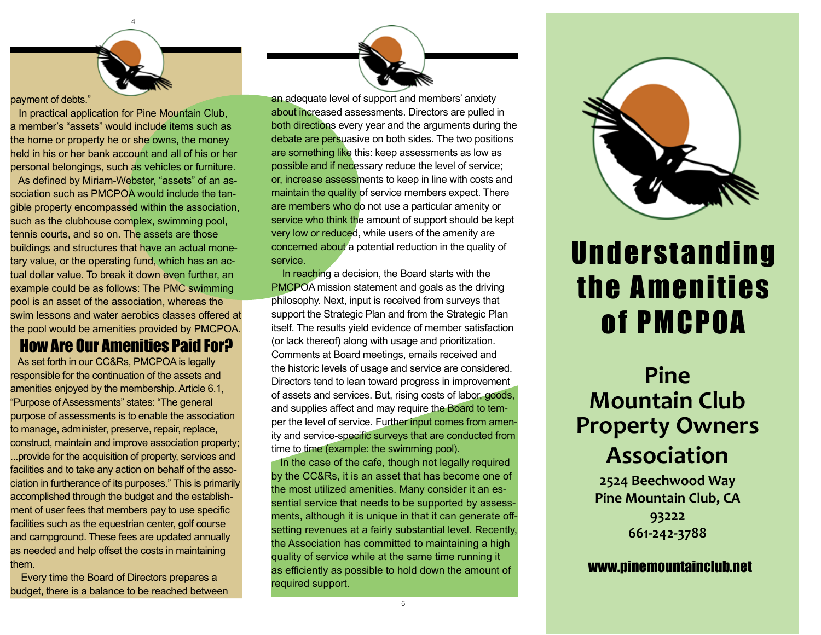4

#### payment of debts."

 In practical application for Pine Mountain Club, a member's "assets" would include items such as the home or property he or she owns, the money held in his or her bank account and all of his or her personal belongings, such as vehicles or furniture. As defined by Miriam-Webster, "assets" of an association such as PMCPOA would include the tangible property encompassed within the association, such as the clubhouse complex, swimming pool, tennis courts, and so on. The assets are those buildings and structures that have an actual monetary value, or the operating fund, which has an actual dollar value. To break it down even further, an example could be as follows: The PMC swimming pool is an asset of the association, whereas the swim lessons and water aerobics classes offered at the pool would be amenities provided by PMCPOA.

### How Are Our Amenities Paid For?

 As set forth in our CC&Rs, PMCPOA is legally responsible for the continuation of the assets and amenities enjoyed by the membership. Article 6.1, "Purpose of Assessments" states: "The general purpose of assessments is to enable the association to manage, administer, preserve, repair, replace, construct, maintain and improve association property; ...provide for the acquisition of property, services and facilities and to take any action on behalf of the association in furtherance of its purposes." This is primarily accomplished through the budget and the establishment of user fees that members pay to use specific facilities such as the equestrian center, golf course and campground. These fees are updated annually as needed and help offset the costs in maintaining them.

 Every time the Board of Directors prepares a budget, there is a balance to be reached between



an adequate level of support and members' anxiety about increased assessments. Directors are pulled in both directions every year and the arguments during the debate are persuasive on both sides. The two positions are something like this: keep assessments as low as possible and if necessary reduce the level of service; or, increase assessments to keep in line with costs and maintain the quality of service members expect. There are members who do not use a particular amenity or service who think the amount of support should be kept very low or reduced, while users of the amenity are concerned about a potential reduction in the quality of service.

 In reaching a decision, the Board starts with the PMCPOA mission statement and goals as the driving philosophy. Next, input is received from surveys that support the Strategic Plan and from the Strategic Plan itself. The results yield evidence of member satisfaction (or lack thereof) along with usage and prioritization. Comments at Board meetings, emails received and the historic levels of usage and service are considered. Directors tend to lean toward progress in improvement of assets and services. But, rising costs of labor, goods, and supplies affect and may require the Board to temper the level of service. Further input comes from amenity and service-specific surveys that are conducted from time to time (example: the swimming pool).

 In the case of the cafe, though not legally required by the CC&Rs, it is an asset that has become one of the most utilized amenities. Many consider it an essential service that needs to be supported by assessments, although it is unique in that it can generate offsetting revenues at a fairly substantial level. Recently, the Association has committed to maintaining a high quality of service while at the same time running it as efficiently as possible to hold down the amount of required support.



# **Understanding** the Amenities of PMCPOA

### **Pine Mountain Club Property Owners Association**

**2524 Beechwood Way Pine Mountain Club, CA 93222 661-242-3788**

www.pinemountainclub.net